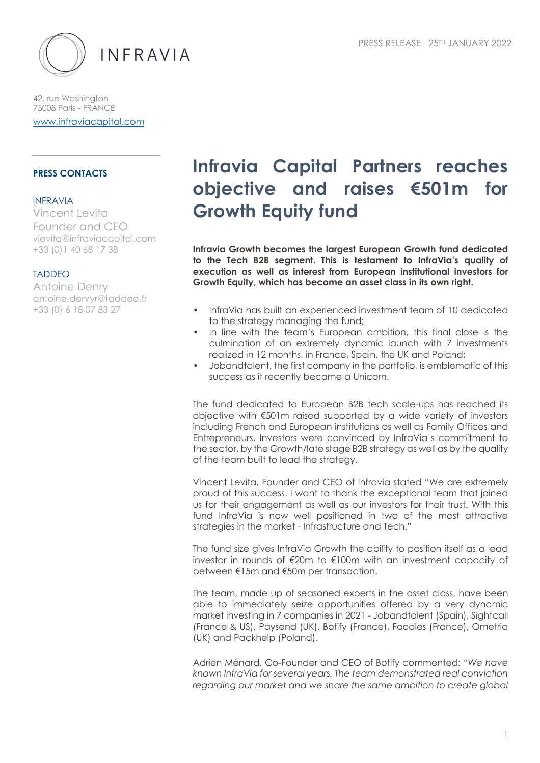

42, rue Washington 75008 Paris - FRANCE www.infraviacapital.com

## **PRESS CONTACTS**

#### INFRAVIA

Vincent Levita Founder and CEO vlevita@infraviacapital.com +33 (0)1 40 68 17 38

# TADDEO

Antoine Denry antoine.denryr@taddeo.fr +33 (0) 6 18 07 83 27

# **Infravia Capital Partners reaches objective and raises €501m for Growth Equity fund**

**Infravia Growth becomes the largest European Growth fund dedicated to the Tech B2B segment. This is testament to InfraVia's quality of execution as well as interest from European institutional investors for Growth Equity, which has become an asset class in its own right.**

- InfraVia has built an experienced investment team of 10 dedicated to the strategy managing the fund;
- In line with the team's European ambition, this final close is the culmination of an extremely dynamic launch with 7 investments realized in 12 months, in France, Spain, the UK and Poland;
- Jobandtalent, the first company in the portfolio, is emblematic of this success as it recently became a Unicorn.

The fund dedicated to European B2B tech scale-ups has reached its objective with €501m raised supported by a wide variety of investors including French and European institutions as well as Family Offices and Entrepreneurs. Investors were convinced by InfraVia's commitment to the sector, by the Growth/late stage B2B strategy as well as by the quality of the team built to lead the strategy.

Vincent Levita, Founder and CEO of Infravia stated "We are extremely proud of this success. I want to thank the exceptional team that joined us for their engagement as well as our investors for their trust. With this fund InfraVia is now well positioned in two of the most attractive strategies in the market - Infrastructure and Tech."

The fund size gives InfraVia Growth the ability to position itself as a lead investor in rounds of €20m to €100m with an investment capacity of between €15m and €50m per transaction.

The team, made up of seasoned experts in the asset class, have been able to immediately seize opportunities offered by a very dynamic market investing in 7 companies in 2021 - Jobandtalent (Spain), Sightcall (France & US), Paysend (UK), Botify (France), Foodles (France), Ometria (UK) and Packhelp (Poland).

Adrien Ménard, Co-Founder and CEO of Botify commented: *"We have known InfraVia for several years. The team demonstrated real conviction regarding our market and we share the same ambition to create global*